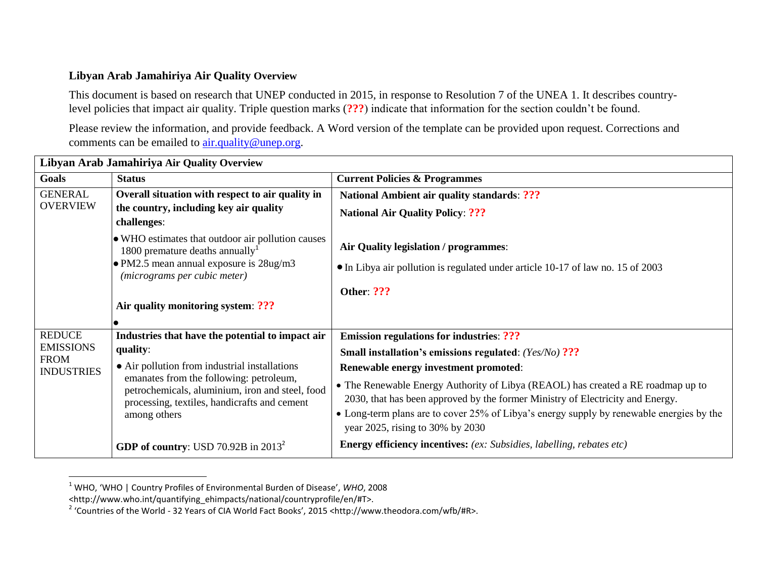## **Libyan Arab Jamahiriya Air Quality Overview**

This document is based on research that UNEP conducted in 2015, in response to Resolution 7 of the UNEA 1. It describes countrylevel policies that impact air quality. Triple question marks (**???**) indicate that information for the section couldn't be found.

Please review the information, and provide feedback. A Word version of the template can be provided upon request. Corrections and comments can be emailed to **air.quality@unep.org.** 

| Libyan Arab Jamahiriya Air Quality Overview                           |                                                                                                                                                            |                                                                                                                                                                                                                                                                                                    |  |  |
|-----------------------------------------------------------------------|------------------------------------------------------------------------------------------------------------------------------------------------------------|----------------------------------------------------------------------------------------------------------------------------------------------------------------------------------------------------------------------------------------------------------------------------------------------------|--|--|
| Goals                                                                 | <b>Status</b>                                                                                                                                              | <b>Current Policies &amp; Programmes</b>                                                                                                                                                                                                                                                           |  |  |
| <b>GENERAL</b>                                                        | Overall situation with respect to air quality in                                                                                                           | <b>National Ambient air quality standards: ???</b>                                                                                                                                                                                                                                                 |  |  |
| <b>OVERVIEW</b>                                                       | the country, including key air quality<br>challenges:                                                                                                      | <b>National Air Quality Policy: ???</b>                                                                                                                                                                                                                                                            |  |  |
|                                                                       | • WHO estimates that outdoor air pollution causes<br>1800 premature deaths annually <sup>1</sup>                                                           | Air Quality legislation / programmes:                                                                                                                                                                                                                                                              |  |  |
|                                                                       | • PM2.5 mean annual exposure is 28ug/m3<br>(micrograms per cubic meter)                                                                                    | • In Libya air pollution is regulated under article 10-17 of law no. 15 of 2003                                                                                                                                                                                                                    |  |  |
|                                                                       |                                                                                                                                                            | <b>Other: ???</b>                                                                                                                                                                                                                                                                                  |  |  |
|                                                                       | Air quality monitoring system: ???                                                                                                                         |                                                                                                                                                                                                                                                                                                    |  |  |
|                                                                       |                                                                                                                                                            |                                                                                                                                                                                                                                                                                                    |  |  |
| <b>REDUCE</b><br><b>EMISSIONS</b><br><b>FROM</b><br><b>INDUSTRIES</b> | Industries that have the potential to impact air                                                                                                           | <b>Emission regulations for industries: ???</b>                                                                                                                                                                                                                                                    |  |  |
|                                                                       | quality:                                                                                                                                                   | <b>Small installation's emissions regulated:</b> (Yes/No) ???                                                                                                                                                                                                                                      |  |  |
|                                                                       | • Air pollution from industrial installations                                                                                                              | Renewable energy investment promoted:                                                                                                                                                                                                                                                              |  |  |
|                                                                       | emanates from the following: petroleum,<br>petrochemicals, aluminium, iron and steel, food<br>processing, textiles, handicrafts and cement<br>among others | • The Renewable Energy Authority of Libya (REAOL) has created a RE roadmap up to<br>2030, that has been approved by the former Ministry of Electricity and Energy.<br>• Long-term plans are to cover 25% of Libya's energy supply by renewable energies by the<br>year 2025, rising to 30% by 2030 |  |  |
|                                                                       | GDP of country: USD 70.92B in $2013^2$                                                                                                                     | <b>Energy efficiency incentives:</b> (ex: Subsidies, labelling, rebates etc)                                                                                                                                                                                                                       |  |  |

<sup>1</sup> WHO, 'WHO | Country Profiles of Environmental Burden of Disease', *WHO*, 2008

 $\overline{\phantom{a}}$ 

<sup>&</sup>lt;http://www.who.int/quantifying\_ehimpacts/national/countryprofile/en/#T>.

<sup>&</sup>lt;sup>2</sup> 'Countries of the World - 32 Years of CIA World Fact Books', 2015 <http://www.theodora.com/wfb/#R>.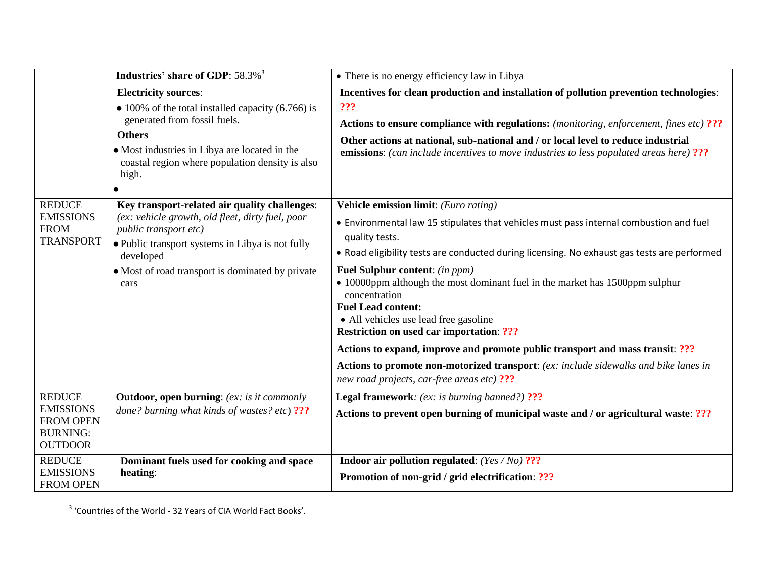|                                                                                            | Industries' share of GDP: 58.3% <sup>3</sup>                                                                                                                                                                                                            | • There is no energy efficiency law in Libya                                                                                                                                                                                                                                                                                                                                                                                                                                                                                                                                                                                                                                                                                               |
|--------------------------------------------------------------------------------------------|---------------------------------------------------------------------------------------------------------------------------------------------------------------------------------------------------------------------------------------------------------|--------------------------------------------------------------------------------------------------------------------------------------------------------------------------------------------------------------------------------------------------------------------------------------------------------------------------------------------------------------------------------------------------------------------------------------------------------------------------------------------------------------------------------------------------------------------------------------------------------------------------------------------------------------------------------------------------------------------------------------------|
|                                                                                            | <b>Electricity sources:</b><br>$\bullet$ 100% of the total installed capacity (6.766) is<br>generated from fossil fuels.<br><b>Others</b><br>• Most industries in Libya are located in the<br>coastal region where population density is also<br>high.  | Incentives for clean production and installation of pollution prevention technologies:<br>???<br>Actions to ensure compliance with regulations: (monitoring, enforcement, fines etc) ???<br>Other actions at national, sub-national and / or local level to reduce industrial<br><b>emissions:</b> (can include incentives to move industries to less populated areas here) ???                                                                                                                                                                                                                                                                                                                                                            |
| <b>REDUCE</b><br><b>EMISSIONS</b><br><b>FROM</b><br><b>TRANSPORT</b>                       | Key transport-related air quality challenges:<br>(ex: vehicle growth, old fleet, dirty fuel, poor<br>public transport etc)<br>• Public transport systems in Libya is not fully<br>developed<br>• Most of road transport is dominated by private<br>cars | Vehicle emission limit: (Euro rating)<br>. Environmental law 15 stipulates that vehicles must pass internal combustion and fuel<br>quality tests.<br>. Road eligibility tests are conducted during licensing. No exhaust gas tests are performed<br><b>Fuel Sulphur content:</b> (in ppm)<br>• 10000ppm although the most dominant fuel in the market has 1500ppm sulphur<br>concentration<br><b>Fuel Lead content:</b><br>• All vehicles use lead free gasoline<br><b>Restriction on used car importation: ???</b><br>Actions to expand, improve and promote public transport and mass transit: ???<br>Actions to promote non-motorized transport: (ex: include sidewalks and bike lanes in<br>new road projects, car-free areas etc) ??? |
| <b>REDUCE</b><br><b>EMISSIONS</b><br><b>FROM OPEN</b><br><b>BURNING:</b><br><b>OUTDOOR</b> | <b>Outdoor, open burning:</b> (ex: is it commonly<br>done? burning what kinds of wastes? etc) ???                                                                                                                                                       | Legal framework: (ex: is burning banned?) ???<br>Actions to prevent open burning of municipal waste and / or agricultural waste: ???                                                                                                                                                                                                                                                                                                                                                                                                                                                                                                                                                                                                       |
| <b>REDUCE</b><br><b>EMISSIONS</b><br><b>FROM OPEN</b>                                      | Dominant fuels used for cooking and space<br>heating:                                                                                                                                                                                                   | <b>Indoor air pollution regulated:</b> (Yes / No) ???<br>Promotion of non-grid / grid electrification: ???                                                                                                                                                                                                                                                                                                                                                                                                                                                                                                                                                                                                                                 |

3 'Countries of the World - 32 Years of CIA World Fact Books'.